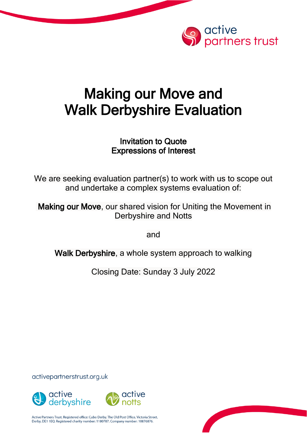

# Making our Move and Walk Derbyshire Evaluation

# Invitation to Quote Expressions of Interest

We are seeking evaluation partner(s) to work with us to scope out and undertake a complex systems evaluation of:

Making our Move, our shared vision for Uniting the Movement in Derbyshire and Notts

and

Walk Derbyshire, a whole system approach to walking

Closing Date: Sunday 3 July 2022

activepartnerstrust.org.uk



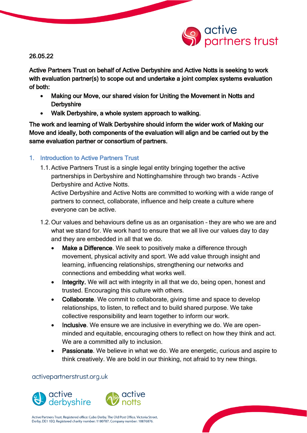

26.05.22

Active Partners Trust on behalf of Active Derbyshire and Active Notts is seeking to work with evaluation partner(s) to scope out and undertake a joint complex systems evaluation of both:

- Making our Move, our shared vision for Uniting the Movement in Notts and **Derbyshire**
- Walk Derbyshire, a whole system approach to walking.

The work and learning of Walk Derbyshire should inform the wider work of Making our Move and ideally, both components of the evaluation will align and be carried out by the same evaluation partner or consortium of partners.

### 1. Introduction to Active Partners Trust

1.1.Active Partners Trust is a single legal entity bringing together the active partnerships in Derbyshire and Nottinghamshire through two brands – Active Derbyshire and Active Notts.

Active Derbyshire and Active Notts are committed to working with a wide range of partners to connect, collaborate, influence and help create a culture where everyone can be active.

- 1.2.Our values and behaviours define us as an organisation they are who we are and what we stand for. We work hard to ensure that we all live our values day to day and they are embedded in all that we do.
	- Make a Difference. We seek to positively make a difference through movement, physical activity and sport. We add value through insight and learning, influencing relationships, strengthening our networks and connections and embedding what works well.
	- Integrity. We will act with integrity in all that we do, being open, honest and trusted. Encouraging this culture with others.
	- Collaborate. We commit to collaborate, giving time and space to develop relationships, to listen, to reflect and to build shared purpose. We take collective responsibility and learn together to inform our work.
	- Inclusive. We ensure we are inclusive in everything we do. We are openminded and equitable, encouraging others to reflect on how they think and act. We are a committed ally to inclusion.
	- Passionate. We believe in what we do. We are energetic, curious and aspire to think creatively. We are bold in our thinking, not afraid to try new things.

#### activepartnerstrust.org.uk



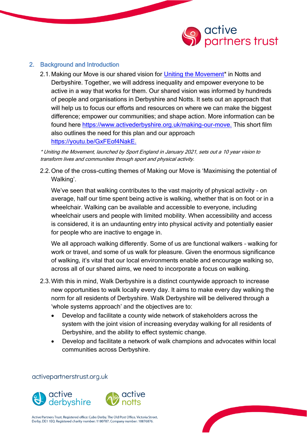

#### 2. Background and Introduction

2.1. Making our Move is our shared vision for Uniting the Movement<sup>\*</sup> in Notts and Derbyshire. Together, we will address inequality and empower everyone to be active in a way that works for them. Our shared vision was informed by hundreds of people and organisations in Derbyshire and Notts. It sets out an approach that will help us to focus our efforts and resources on where we can make the biggest difference; empower our communities; and shape action. More information can be found here [https://www.activederbyshire.org.uk/making-our-move.](https://www.activederbyshire.org.uk/making-our-move) This short film also outlines the need for this plan and our approach [https://youtu.be/GxFEof4NakE.](https://youtu.be/GxFEof4NakE)

\* Uniting the Movement, launched by Sport England in January 2021, sets out a 10 year vision to transform lives and communities through sport and physical activity.

2.2.One of the cross-cutting themes of Making our Move is 'Maximising the potential of Walking'.

We've seen that walking contributes to the vast majority of physical activity - on average, half our time spent being active is walking, whether that is on foot or in a wheelchair. Walking can be available and accessible to everyone, including wheelchair users and people with limited mobility. When accessibility and access is considered, it is an undaunting entry into physical activity and potentially easier for people who are inactive to engage in.

We all approach walking differently. Some of us are functional walkers – walking for work or travel, and some of us walk for pleasure. Given the enormous significance of walking, it's vital that our local environments enable and encourage walking so, across all of our shared aims, we need to incorporate a focus on walking.

- 2.3.With this in mind, Walk Derbyshire is a distinct countywide approach to increase new opportunities to walk locally every day. It aims to make every day walking the norm for all residents of Derbyshire. Walk Derbyshire will be delivered through a 'whole systems approach' and the objectives are to:
	- Develop and facilitate a county wide network of stakeholders across the system with the joint vision of increasing everyday walking for all residents of Derbyshire, and the ability to effect systemic change.
	- Develop and facilitate a network of walk champions and advocates within local communities across Derbyshire.

activepartnerstrust.org.uk



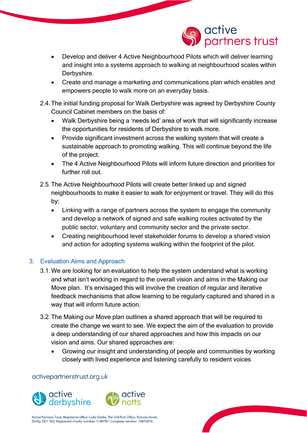

- Develop and deliver 4 Active Neighbourhood Pilots which will deliver learning and insight into a systems approach to walking at neighbourhood scales within Derbyshire.
- Create and manage a marketing and communications plan which enables and empowers people to walk more on an everyday basis.
- 2.4.The initial funding proposal for Walk Derbyshire was agreed by Derbyshire County Council Cabinet members on the basis of:
	- Walk Derbyshire being a 'needs led' area of work that will significantly increase the opportunities for residents of Derbyshire to walk more.
	- Provide significant investment across the walking system that will create a sustainable approach to promoting walking. This will continue beyond the life of the project.
	- The 4 Active Neighbourhood Pilots will inform future direction and priorities for further roll out.
- 2.5.The Active Neighbourhood Pilots will create better linked up and signed neighbourhoods to make it easier to walk for enjoyment or travel. They will do this by:
	- Linking with a range of partners across the system to engage the community and develop a network of signed and safe walking routes activated by the public sector, voluntary and community sector and the private sector.
	- Creating neighbourhood level stakeholder forums to develop a shared vision and action for adopting systems walking within the footprint of the pilot.

## 3. Evaluation Aims and Approach

- 3.1.We are looking for an evaluation to help the system understand what is working and what isn't working in regard to the overall vision and aims in the Making our Move plan. It's envisaged this will involve the creation of regular and iterative feedback mechanisms that allow learning to be regularly captured and shared in a way that will inform future action.
- 3.2.The Making our Move plan outlines a shared approach that will be required to create the change we want to see. We expect the aim of the evaluation to provide a deep understanding of our shared approaches and how this impacts on our vision and aims. Our shared approaches are:
	- Growing our insight and understanding of people and communities by working closely with lived experience and listening carefully to resident voices

#### activepartnerstrust.org.uk



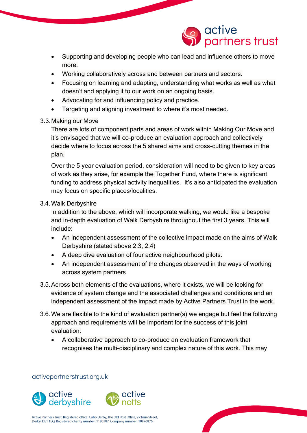

- Supporting and developing people who can lead and influence others to move more.
- Working collaboratively across and between partners and sectors.
- Focusing on learning and adapting, understanding what works as well as what doesn't and applying it to our work on an ongoing basis.
- Advocating for and influencing policy and practice.
- Targeting and aligning investment to where it's most needed.

#### 3.3.Making our Move

There are lots of component parts and areas of work within Making Our Move and it's envisaged that we will co-produce an evaluation approach and collectively decide where to focus across the 5 shared aims and cross-cutting themes in the plan.

Over the 5 year evaluation period, consideration will need to be given to key areas of work as they arise, for example the Together Fund, where there is significant funding to address physical activity inequalities. It's also anticipated the evaluation may focus on specific places/localities.

#### 3.4.Walk Derbyshire

In addition to the above, which will incorporate walking, we would like a bespoke and in-depth evaluation of Walk Derbyshire throughout the first 3 years. This will include:

- An independent assessment of the collective impact made on the aims of Walk Derbyshire (stated above 2.3, 2.4)
- A deep dive evaluation of four active neighbourhood pilots.
- An independent assessment of the changes observed in the ways of working across system partners
- 3.5.Across both elements of the evaluations, where it exists, we will be looking for evidence of system change and the associated challenges and conditions and an independent assessment of the impact made by Active Partners Trust in the work.
- 3.6.We are flexible to the kind of evaluation partner(s) we engage but feel the following approach and requirements will be important for the success of this joint evaluation:
	- A collaborative approach to co-produce an evaluation framework that recognises the multi-disciplinary and complex nature of this work. This may

activepartnerstrust.org.uk



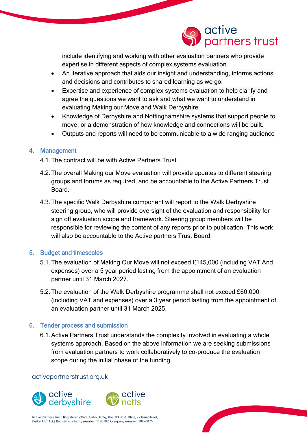

include identifying and working with other evaluation partners who provide expertise in different aspects of complex systems evaluation.

- An iterative approach that aids our insight and understanding, informs actions and decisions and contributes to shared learning as we go.
- Expertise and experience of complex systems evaluation to help clarify and agree the questions we want to ask and what we want to understand in evaluating Making our Move and Walk Derbyshire.
- Knowledge of Derbyshire and Nottinghamshire systems that support people to move, or a demonstration of how knowledge and connections will be built.
- Outputs and reports will need to be communicable to a wide ranging audience

#### 4. Management

- 4.1.The contract will be with Active Partners Trust.
- 4.2.The overall Making our Move evaluation will provide updates to different steering groups and forums as required, and be accountable to the Active Partners Trust Board.
- 4.3.The specific Walk Derbyshire component will report to the Walk Derbyshire steering group, who will provide oversight of the evaluation and responsibility for sign off evaluation scope and framework. Steering group members will be responsible for reviewing the content of any reports prior to publication. This work will also be accountable to the Active partners Trust Board.

#### 5. Budget and timescales

- 5.1.The evaluation of Making Our Move will not exceed £145,000 (including VAT And expenses) over a 5 year period lasting from the appointment of an evaluation partner until 31 March 2027.
- 5.2.The evaluation of the Walk Derbyshire programme shall not exceed £60,000 (including VAT and expenses) over a 3 year period lasting from the appointment of an evaluation partner until 31 March 2025.

#### 6. Tender process and submission

6.1.Active Partners Trust understands the complexity involved in evaluating a whole systems approach. Based on the above information we are seeking submissions from evaluation partners to work collaboratively to co-produce the evaluation scope during the initial phase of the funding.

#### activepartnerstrust.org.uk